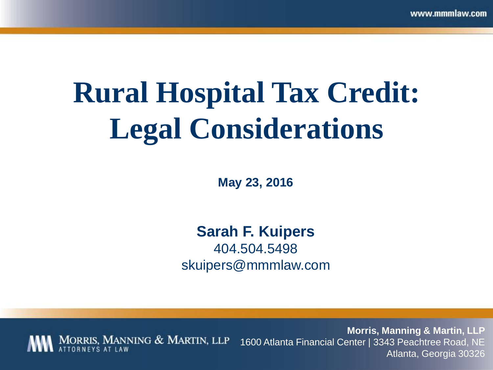# **Rural Hospital Tax Credit: Legal Considerations**

**May 23, 2016**

**Sarah F. Kuipers**  404.504.5498 skuipers@mmmlaw.com

**Morris, Manning & Martin, LLP**  MORRIS, MANNING & MARTIN, LLP 1600 Atlanta Financial Center | 3343 Peachtree Road, NE Atlanta, Georgia 30326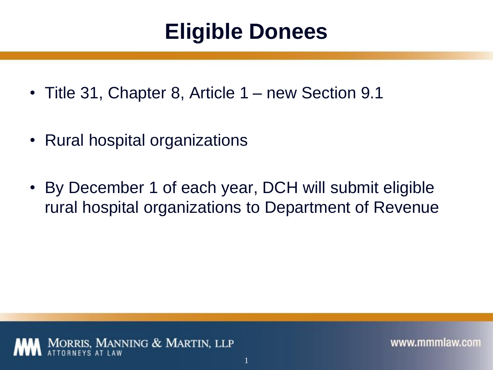#### **Eligible Donees**

- Title 31, Chapter 8, Article 1 new Section 9.1
- Rural hospital organizations
- By December 1 of each year, DCH will submit eligible rural hospital organizations to Department of Revenue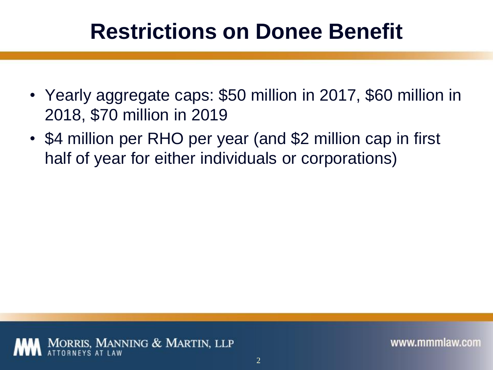#### **Restrictions on Donee Benefit**

- Yearly aggregate caps: \$50 million in 2017, \$60 million in 2018, \$70 million in 2019
- \$4 million per RHO per year (and \$2 million cap in first half of year for either individuals or corporations)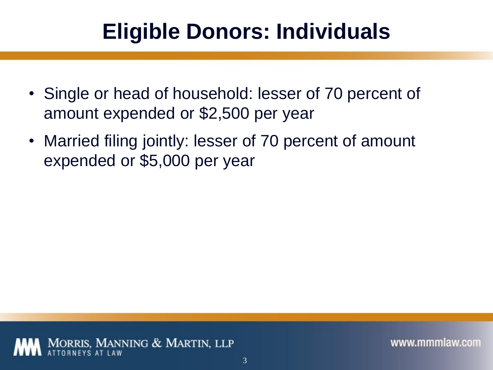#### **Eligible Donors: Individuals**

- Single or head of household: lesser of 70 percent of amount expended or \$2,500 per year
- Married filing jointly: lesser of 70 percent of amount expended or \$5,000 per year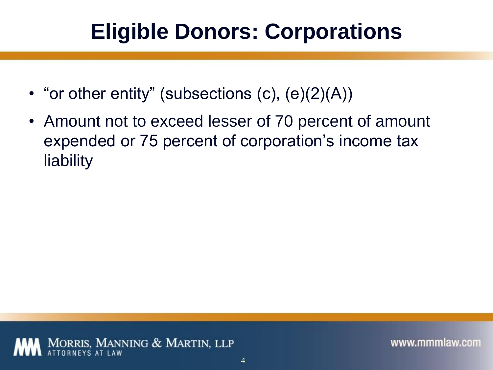### **Eligible Donors: Corporations**

- "or other entity" (subsections  $(c)$ ,  $(e)(2)(A)$ )
- Amount not to exceed lesser of 70 percent of amount expended or 75 percent of corporation's income tax liability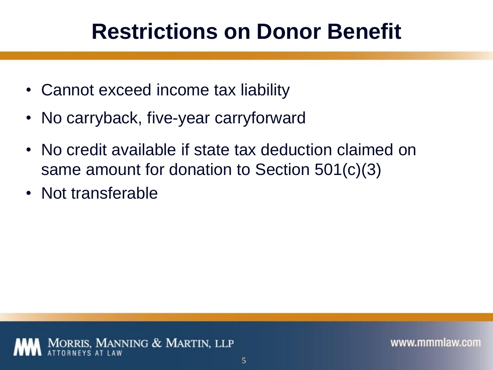#### **Restrictions on Donor Benefit**

- Cannot exceed income tax liability
- No carryback, five-year carryforward
- No credit available if state tax deduction claimed on same amount for donation to Section 501(c)(3)
- Not transferable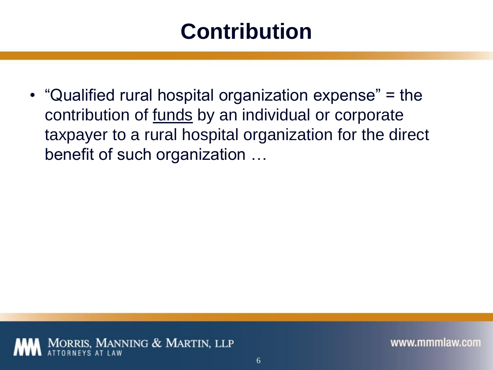#### **Contribution**

• "Qualified rural hospital organization expense" = the contribution of funds by an individual or corporate taxpayer to a rural hospital organization for the direct benefit of such organization …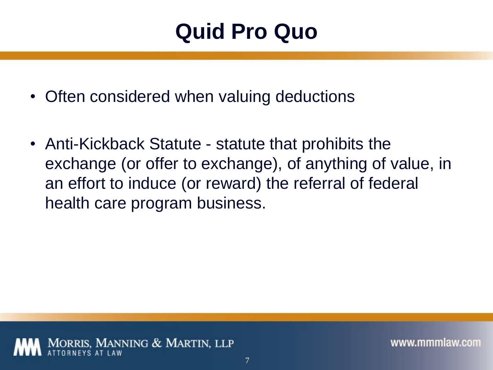#### **Quid Pro Quo**

- Often considered when valuing deductions
- Anti-Kickback Statute statute that prohibits the exchange (or offer to exchange), of anything of value, in an effort to induce (or reward) the referral of federal health care program business.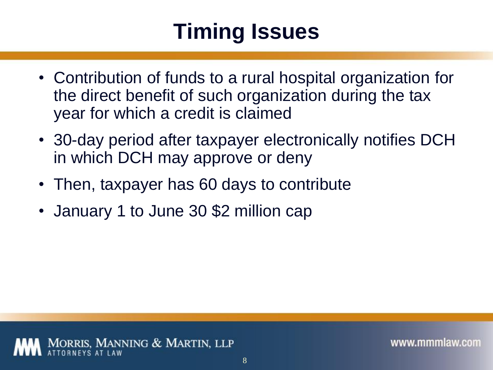## **Timing Issues**

- Contribution of funds to a rural hospital organization for the direct benefit of such organization during the tax year for which a credit is claimed
- 30-day period after taxpayer electronically notifies DCH in which DCH may approve or deny
- Then, taxpayer has 60 days to contribute
- January 1 to June 30 \$2 million cap